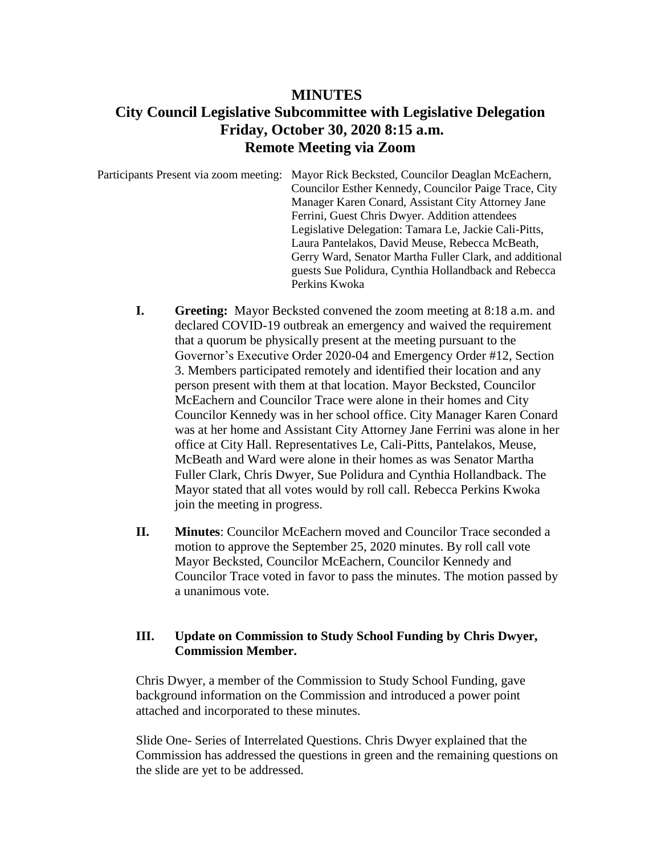## **MINUTES City Council Legislative Subcommittee with Legislative Delegation Friday, October 30, 2020 8:15 a.m. Remote Meeting via Zoom**

Participants Present via zoom meeting: Mayor Rick Becksted, Councilor Deaglan McEachern, Councilor Esther Kennedy, Councilor Paige Trace, City Manager Karen Conard, Assistant City Attorney Jane Ferrini, Guest Chris Dwyer. Addition attendees Legislative Delegation: Tamara Le, Jackie Cali-Pitts, Laura Pantelakos, David Meuse, Rebecca McBeath, Gerry Ward, Senator Martha Fuller Clark, and additional guests Sue Polidura, Cynthia Hollandback and Rebecca Perkins Kwoka

- **I. Greeting:** Mayor Becksted convened the zoom meeting at 8:18 a.m. and declared COVID-19 outbreak an emergency and waived the requirement that a quorum be physically present at the meeting pursuant to the Governor's Executive Order 2020-04 and Emergency Order #12, Section 3. Members participated remotely and identified their location and any person present with them at that location. Mayor Becksted, Councilor McEachern and Councilor Trace were alone in their homes and City Councilor Kennedy was in her school office. City Manager Karen Conard was at her home and Assistant City Attorney Jane Ferrini was alone in her office at City Hall. Representatives Le, Cali-Pitts, Pantelakos, Meuse, McBeath and Ward were alone in their homes as was Senator Martha Fuller Clark, Chris Dwyer, Sue Polidura and Cynthia Hollandback. The Mayor stated that all votes would by roll call. Rebecca Perkins Kwoka join the meeting in progress.
- **II. Minutes**: Councilor McEachern moved and Councilor Trace seconded a motion to approve the September 25, 2020 minutes. By roll call vote Mayor Becksted, Councilor McEachern, Councilor Kennedy and Councilor Trace voted in favor to pass the minutes. The motion passed by a unanimous vote.

## **III. Update on Commission to Study School Funding by Chris Dwyer, Commission Member.**

Chris Dwyer, a member of the Commission to Study School Funding, gave background information on the Commission and introduced a power point attached and incorporated to these minutes.

Slide One- Series of Interrelated Questions. Chris Dwyer explained that the Commission has addressed the questions in green and the remaining questions on the slide are yet to be addressed.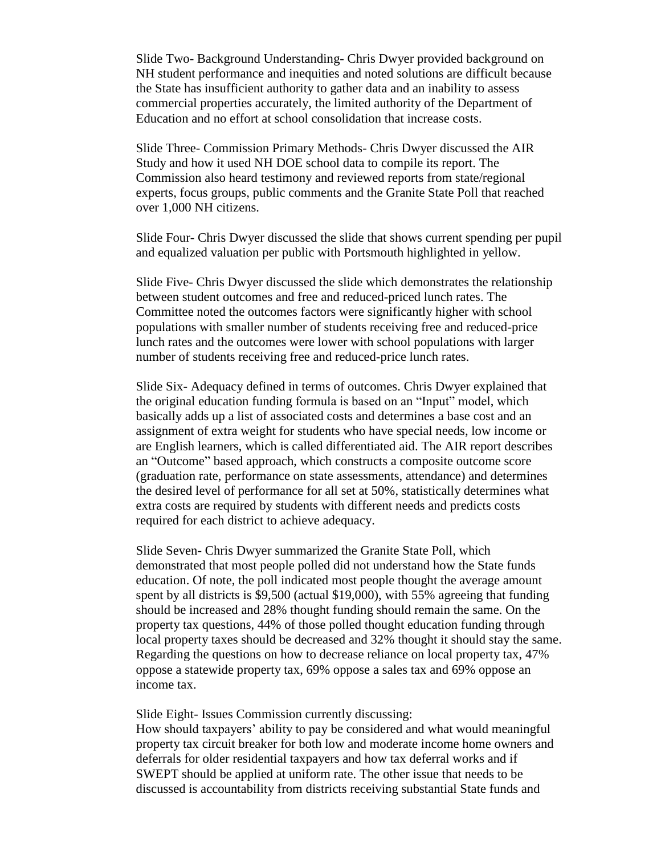Slide Two- Background Understanding- Chris Dwyer provided background on NH student performance and inequities and noted solutions are difficult because the State has insufficient authority to gather data and an inability to assess commercial properties accurately, the limited authority of the Department of Education and no effort at school consolidation that increase costs.

Slide Three- Commission Primary Methods- Chris Dwyer discussed the AIR Study and how it used NH DOE school data to compile its report. The Commission also heard testimony and reviewed reports from state/regional experts, focus groups, public comments and the Granite State Poll that reached over 1,000 NH citizens.

Slide Four- Chris Dwyer discussed the slide that shows current spending per pupil and equalized valuation per public with Portsmouth highlighted in yellow.

Slide Five- Chris Dwyer discussed the slide which demonstrates the relationship between student outcomes and free and reduced-priced lunch rates. The Committee noted the outcomes factors were significantly higher with school populations with smaller number of students receiving free and reduced-price lunch rates and the outcomes were lower with school populations with larger number of students receiving free and reduced-price lunch rates.

Slide Six- Adequacy defined in terms of outcomes. Chris Dwyer explained that the original education funding formula is based on an "Input" model, which basically adds up a list of associated costs and determines a base cost and an assignment of extra weight for students who have special needs, low income or are English learners, which is called differentiated aid. The AIR report describes an "Outcome" based approach, which constructs a composite outcome score (graduation rate, performance on state assessments, attendance) and determines the desired level of performance for all set at 50%, statistically determines what extra costs are required by students with different needs and predicts costs required for each district to achieve adequacy.

Slide Seven- Chris Dwyer summarized the Granite State Poll, which demonstrated that most people polled did not understand how the State funds education. Of note, the poll indicated most people thought the average amount spent by all districts is \$9,500 (actual \$19,000), with 55% agreeing that funding should be increased and 28% thought funding should remain the same. On the property tax questions, 44% of those polled thought education funding through local property taxes should be decreased and 32% thought it should stay the same. Regarding the questions on how to decrease reliance on local property tax, 47% oppose a statewide property tax, 69% oppose a sales tax and 69% oppose an income tax.

Slide Eight- Issues Commission currently discussing:

How should taxpayers' ability to pay be considered and what would meaningful property tax circuit breaker for both low and moderate income home owners and deferrals for older residential taxpayers and how tax deferral works and if SWEPT should be applied at uniform rate. The other issue that needs to be discussed is accountability from districts receiving substantial State funds and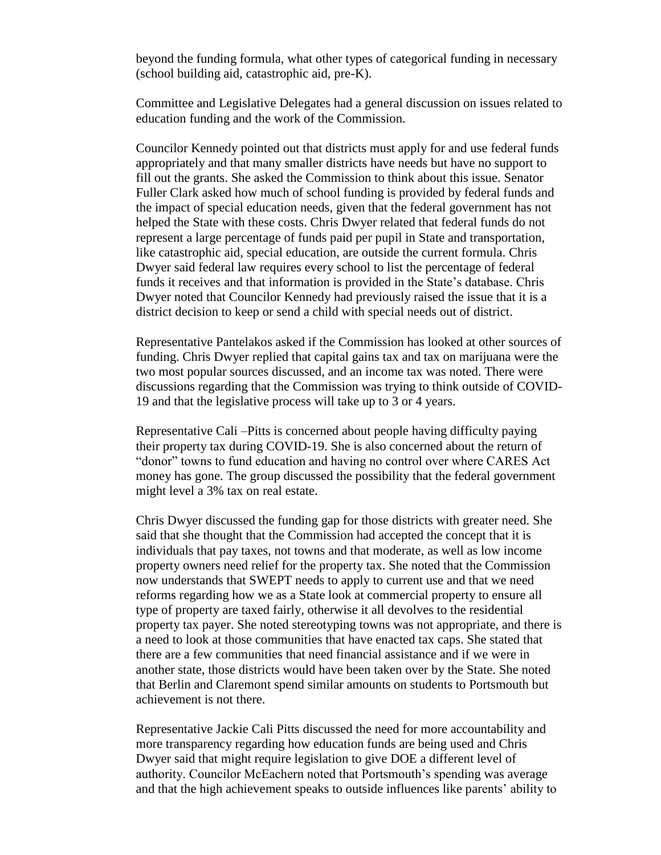beyond the funding formula, what other types of categorical funding in necessary (school building aid, catastrophic aid, pre-K).

Committee and Legislative Delegates had a general discussion on issues related to education funding and the work of the Commission.

Councilor Kennedy pointed out that districts must apply for and use federal funds appropriately and that many smaller districts have needs but have no support to fill out the grants. She asked the Commission to think about this issue. Senator Fuller Clark asked how much of school funding is provided by federal funds and the impact of special education needs, given that the federal government has not helped the State with these costs. Chris Dwyer related that federal funds do not represent a large percentage of funds paid per pupil in State and transportation, like catastrophic aid, special education, are outside the current formula. Chris Dwyer said federal law requires every school to list the percentage of federal funds it receives and that information is provided in the State's database. Chris Dwyer noted that Councilor Kennedy had previously raised the issue that it is a district decision to keep or send a child with special needs out of district.

Representative Pantelakos asked if the Commission has looked at other sources of funding. Chris Dwyer replied that capital gains tax and tax on marijuana were the two most popular sources discussed, and an income tax was noted. There were discussions regarding that the Commission was trying to think outside of COVID-19 and that the legislative process will take up to 3 or 4 years.

Representative Cali –Pitts is concerned about people having difficulty paying their property tax during COVID-19. She is also concerned about the return of "donor" towns to fund education and having no control over where CARES Act money has gone. The group discussed the possibility that the federal government might level a 3% tax on real estate.

Chris Dwyer discussed the funding gap for those districts with greater need. She said that she thought that the Commission had accepted the concept that it is individuals that pay taxes, not towns and that moderate, as well as low income property owners need relief for the property tax. She noted that the Commission now understands that SWEPT needs to apply to current use and that we need reforms regarding how we as a State look at commercial property to ensure all type of property are taxed fairly, otherwise it all devolves to the residential property tax payer. She noted stereotyping towns was not appropriate, and there is a need to look at those communities that have enacted tax caps. She stated that there are a few communities that need financial assistance and if we were in another state, those districts would have been taken over by the State. She noted that Berlin and Claremont spend similar amounts on students to Portsmouth but achievement is not there.

Representative Jackie Cali Pitts discussed the need for more accountability and more transparency regarding how education funds are being used and Chris Dwyer said that might require legislation to give DOE a different level of authority. Councilor McEachern noted that Portsmouth's spending was average and that the high achievement speaks to outside influences like parents' ability to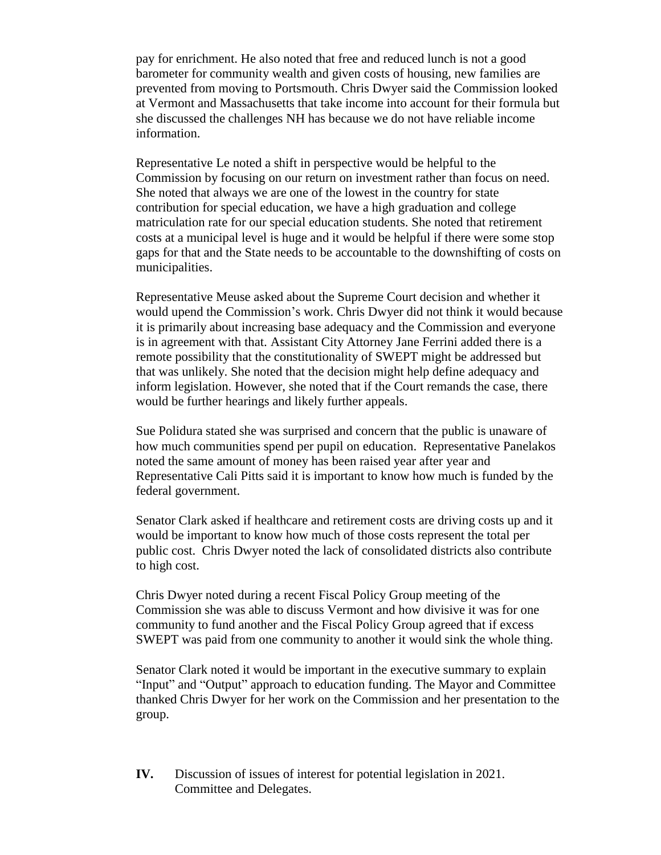pay for enrichment. He also noted that free and reduced lunch is not a good barometer for community wealth and given costs of housing, new families are prevented from moving to Portsmouth. Chris Dwyer said the Commission looked at Vermont and Massachusetts that take income into account for their formula but she discussed the challenges NH has because we do not have reliable income information.

Representative Le noted a shift in perspective would be helpful to the Commission by focusing on our return on investment rather than focus on need. She noted that always we are one of the lowest in the country for state contribution for special education, we have a high graduation and college matriculation rate for our special education students. She noted that retirement costs at a municipal level is huge and it would be helpful if there were some stop gaps for that and the State needs to be accountable to the downshifting of costs on municipalities.

Representative Meuse asked about the Supreme Court decision and whether it would upend the Commission's work. Chris Dwyer did not think it would because it is primarily about increasing base adequacy and the Commission and everyone is in agreement with that. Assistant City Attorney Jane Ferrini added there is a remote possibility that the constitutionality of SWEPT might be addressed but that was unlikely. She noted that the decision might help define adequacy and inform legislation. However, she noted that if the Court remands the case, there would be further hearings and likely further appeals.

Sue Polidura stated she was surprised and concern that the public is unaware of how much communities spend per pupil on education. Representative Panelakos noted the same amount of money has been raised year after year and Representative Cali Pitts said it is important to know how much is funded by the federal government.

Senator Clark asked if healthcare and retirement costs are driving costs up and it would be important to know how much of those costs represent the total per public cost. Chris Dwyer noted the lack of consolidated districts also contribute to high cost.

Chris Dwyer noted during a recent Fiscal Policy Group meeting of the Commission she was able to discuss Vermont and how divisive it was for one community to fund another and the Fiscal Policy Group agreed that if excess SWEPT was paid from one community to another it would sink the whole thing.

Senator Clark noted it would be important in the executive summary to explain "Input" and "Output" approach to education funding. The Mayor and Committee thanked Chris Dwyer for her work on the Commission and her presentation to the group.

**IV.** Discussion of issues of interest for potential legislation in 2021. Committee and Delegates.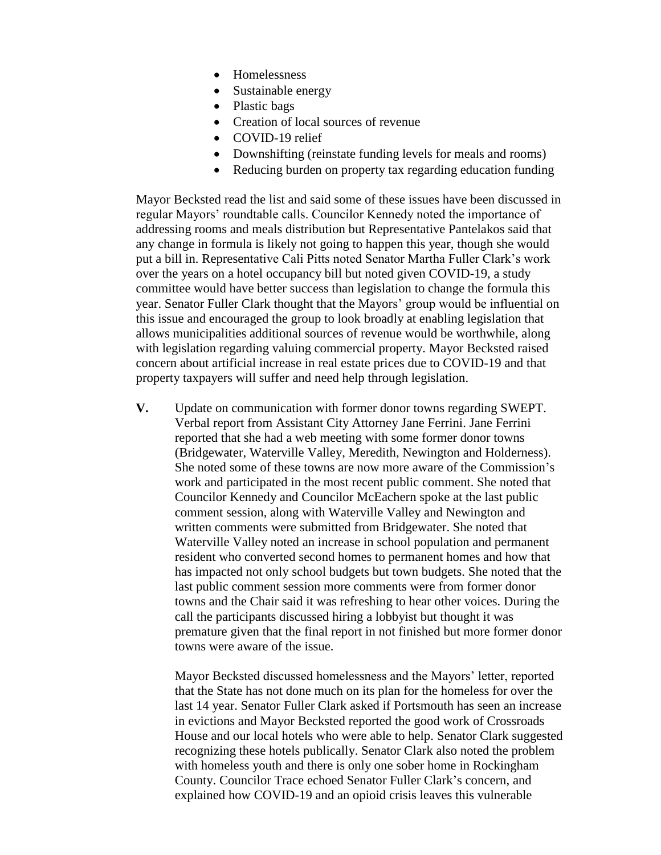- Homelessness
- Sustainable energy
- Plastic bags
- Creation of local sources of revenue
- COVID-19 relief
- Downshifting (reinstate funding levels for meals and rooms)
- Reducing burden on property tax regarding education funding

Mayor Becksted read the list and said some of these issues have been discussed in regular Mayors' roundtable calls. Councilor Kennedy noted the importance of addressing rooms and meals distribution but Representative Pantelakos said that any change in formula is likely not going to happen this year, though she would put a bill in. Representative Cali Pitts noted Senator Martha Fuller Clark's work over the years on a hotel occupancy bill but noted given COVID-19, a study committee would have better success than legislation to change the formula this year. Senator Fuller Clark thought that the Mayors' group would be influential on this issue and encouraged the group to look broadly at enabling legislation that allows municipalities additional sources of revenue would be worthwhile, along with legislation regarding valuing commercial property. Mayor Becksted raised concern about artificial increase in real estate prices due to COVID-19 and that property taxpayers will suffer and need help through legislation.

**V.** Update on communication with former donor towns regarding SWEPT. Verbal report from Assistant City Attorney Jane Ferrini. Jane Ferrini reported that she had a web meeting with some former donor towns (Bridgewater, Waterville Valley, Meredith, Newington and Holderness). She noted some of these towns are now more aware of the Commission's work and participated in the most recent public comment. She noted that Councilor Kennedy and Councilor McEachern spoke at the last public comment session, along with Waterville Valley and Newington and written comments were submitted from Bridgewater. She noted that Waterville Valley noted an increase in school population and permanent resident who converted second homes to permanent homes and how that has impacted not only school budgets but town budgets. She noted that the last public comment session more comments were from former donor towns and the Chair said it was refreshing to hear other voices. During the call the participants discussed hiring a lobbyist but thought it was premature given that the final report in not finished but more former donor towns were aware of the issue.

Mayor Becksted discussed homelessness and the Mayors' letter, reported that the State has not done much on its plan for the homeless for over the last 14 year. Senator Fuller Clark asked if Portsmouth has seen an increase in evictions and Mayor Becksted reported the good work of Crossroads House and our local hotels who were able to help. Senator Clark suggested recognizing these hotels publically. Senator Clark also noted the problem with homeless youth and there is only one sober home in Rockingham County. Councilor Trace echoed Senator Fuller Clark's concern, and explained how COVID-19 and an opioid crisis leaves this vulnerable